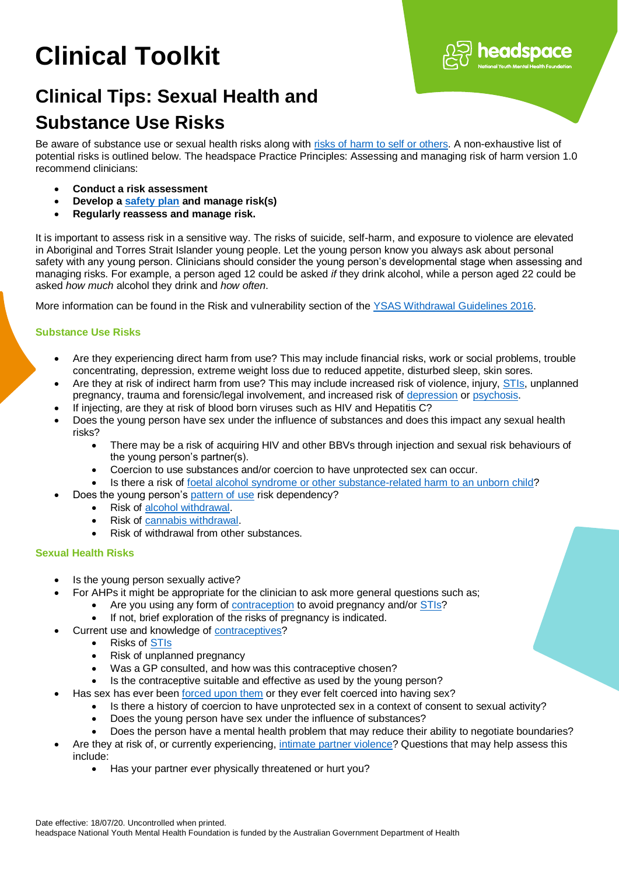# **Clinical Toolkit**

# **Clinical Tips: Sexual Health and Substance Use Risks**

Be aware of substance use or sexual health risks along with [risks of harm to self or others.](https://headspace.org.au/assets/Uploads/Resource-library/Health-professionals/Clinical-Toolkit/CT-Assessing-suicide-and-self-harm.pdf) A non-exhaustive list of potential risks is outlined below. The headspace Practice Principles: Assessing and managing risk of harm version 1.0 recommend clinicians:

headspace

- **Conduct a risk assessment**
- **Develop a [safety plan](http://../AOD%20Clinical%20Toolkit/CT-Safety%20Plan.docx) and manage risk(s)**
- **Regularly reassess and manage risk.**

It is important to assess risk in a sensitive way. The risks of suicide, self-harm, and exposure to violence are elevated in Aboriginal and Torres Strait Islander young people. Let the young person know you always ask about personal safety with any young person. Clinicians should consider the young person's developmental stage when assessing and managing risks. For example, a person aged 12 could be asked *if* they drink alcohol, while a person aged 22 could be asked *how much* alcohol they drink and *how often*.

More information can be found in the Risk and vulnerability section of the [YSAS Withdrawal Guidelines 2016.](https://www.ysas.org.au/sites/default/files/YSAS0106_WithdrawlGuidelines_2016_v14_FA_WEB.pdf)

# **Substance Use Risks**

- Are they experiencing direct harm from use? This may include financial risks, work or social problems, trouble concentrating, depression, extreme weight loss due to reduced appetite, disturbed sleep, skin sores.
- Are they at risk of indirect harm from use? This may include increased risk of violence, injury, [STIs,](http://../Mike%20drafts/AOD%20Clinical%20Toolkit/CT-AHP_Practice_Tip_STIs) unplanned pregnancy, trauma and forensic/legal involvement, and increased risk of [depression](https://headspace.org.au/health-professionals/clinical-toolkit/depression/) o[r psychosis.](https://headspace.org.au/health-professionals/clinical-toolkit/psychosis/)
- If injecting, are they at risk of blood born viruses such as HIV and Hepatitis C?
- Does the young person have sex under the influence of substances and does this impact any sexual health risks?
	- There may be a risk of acquiring HIV and other BBVs through injection and sexual risk behaviours of the young person's partner(s).
	- Coercion to use substances and/or coercion to have unprotected sex can occur.
	- Is there a risk of [foetal alcohol syndrome or other substance-related harm to an unborn child?](http://../Mike%20drafts/AOD%20Clinical%20Toolkit/CT-Substance_use_and_pregnancy)
- Does the young person's [pattern of use](http://../AOD%20Clinical%20Toolkit/CT-AOD%20Patterns%20of%20Use.docx) risk dependency?
	- Risk of [alcohol withdrawal.](http://../AOD%20Clinical%20Toolkit/CT-Alcohol_withdrawal.docx)
	- Risk of [cannabis withdrawal.](http://../AOD%20Clinical%20Toolkit/CT-Cannabis%20Withdrawal.docx)
	- Risk of withdrawal from other substances.

# **Sexual Health Risks**

- Is the young person sexually active?
- For AHPs it might be appropriate for the clinician to ask more general questions such as;
	- Are you using any form o[f contraception](http://../Mike%20drafts/AOD%20Clinical%20Toolkit/CT-Contraception) to avoid pregnancy and/or [STIs?](http://../Mike%20drafts/AOD%20Clinical%20Toolkit/CT-AHP_Practice_Tip_STIs)
	- If not, brief exploration of the risks of pregnancy is indicated.
- Current use and knowledge of [contraceptives?](http://../Mike%20drafts/AOD%20Clinical%20Toolkit/CT-Contraception)
	- Risks of [STIs](http://../Mike%20drafts/AOD%20Clinical%20Toolkit/CT-AHP_Practice_Tip_STIs)
	- Risk of unplanned pregnancy
	- Was a GP consulted, and how was this contraceptive chosen?
	- Is the contraceptive suitable and effective as used by the young person?
- Has sex has ever been [forced upon them](about:blank) or they ever felt coerced into having sex?
	- Is there a history of coercion to have unprotected sex in a context of consent to sexual activity?
		- Does the young person have sex under the influence of substances?
		- Does the person have a mental health problem that may reduce their ability to negotiate boundaries?
- Are they at risk of, or currently experiencing, [intimate partner violence?](about:blank) Questions that may help assess this include:
	- Has your partner ever physically threatened or hurt you?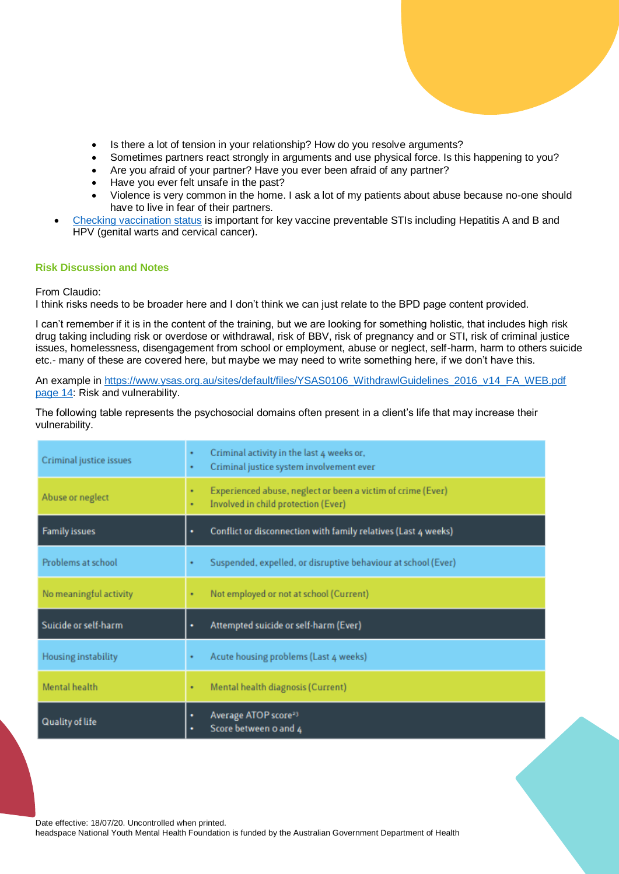- Is there a lot of tension in your relationship? How do you resolve arguments?
- Sometimes partners react strongly in arguments and use physical force. Is this happening to you?
- Are you afraid of your partner? Have you ever been afraid of any partner?
- Have you ever felt unsafe in the past?
- Violence is very common in the home. I ask a lot of my patients about abuse because no-one should have to live in fear of their partners.
- [Checking vaccination status](https://www.health.gov.au/health-topics/immunisation/getting-vaccinated/check-immunisation-history) is important for key vaccine preventable STIs including Hepatitis A and B and HPV (genital warts and cervical cancer).

# **Risk Discussion and Notes**

From Claudio:

I think risks needs to be broader here and I don't think we can just relate to the BPD page content provided.

I can't remember if it is in the content of the training, but we are looking for something holistic, that includes high risk drug taking including risk or overdose or withdrawal, risk of BBV, risk of pregnancy and or STI, risk of criminal justice issues, homelessness, disengagement from school or employment, abuse or neglect, self-harm, harm to others suicide etc.- many of these are covered here, but maybe we may need to write something here, if we don't have this.

An example in https://www.ysas.org.au/sites/default/files/YSAS0106\_WithdrawlGuidelines\_2016\_v14\_FA\_WEB.pdf [page 14:](https://www.ysas.org.au/sites/default/files/YSAS0106_WithdrawlGuidelines_2016_v14_FA_WEB.pdf%20page%2014) Risk and vulnerability.

The following table represents the psychosocial domains often present in a client's life that may increase their vulnerability.

| Criminal justice issues | ٠<br>٠ | Criminal activity in the last 4 weeks or,<br>Criminal justice system involvement ever              |
|-------------------------|--------|----------------------------------------------------------------------------------------------------|
| Abuse or neglect        | ٠<br>٠ | Experienced abuse, neglect or been a victim of crime (Ever)<br>Involved in child protection (Ever) |
| <b>Family issues</b>    | ٠      | Conflict or disconnection with family relatives (Last 4 weeks)                                     |
| Problems at school      |        | Suspended, expelled, or disruptive behaviour at school (Ever)                                      |
| No meaningful activity  |        | Not employed or not at school (Current)                                                            |
| Suicide or self-harm    | ٠      | Attempted suicide or self-harm (Ever)                                                              |
| Housing instability     |        | Acute housing problems (Last 4 weeks)                                                              |
| Mental health           | ٠      | Mental health diagnosis (Current)                                                                  |
| Quality of life         | ٠<br>٠ | Average ATOP score <sup>23</sup><br>Score between o and 4                                          |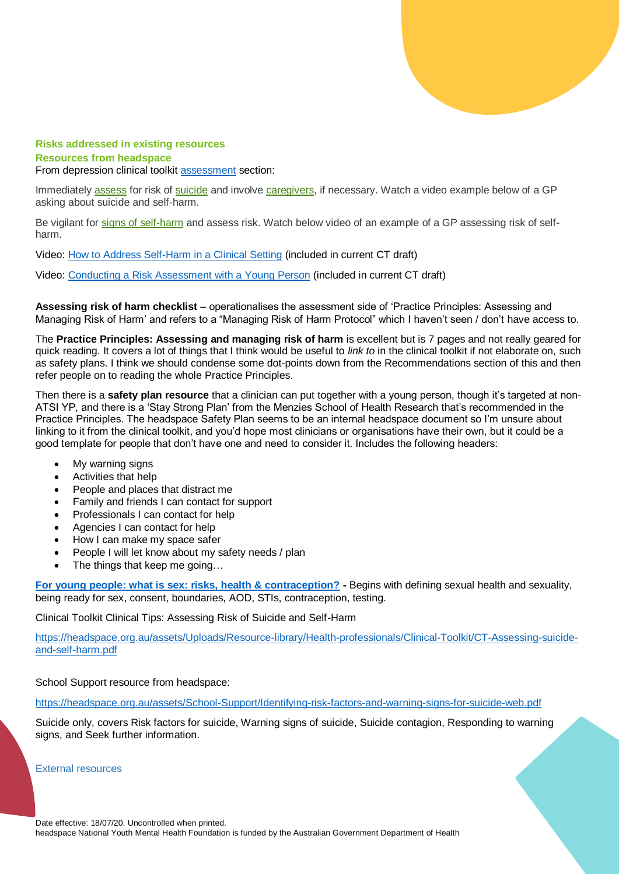

# **Risks addressed in existing resources Resources from headspace**

From depression clinical toolkit [assessment](https://headspace.org.au/health-professionals/clinical-toolkit/depression/assessment/) section:

Immediately [assess](https://extranet.headspace.org.au/sites/centres/DocumentsandInformation/ResourceCentre/depressioninyp/SiteAssets/SitePages/Assessment/A%20Suggested%20suicide%20assessment%20questions.pdf) for risk of [suicide](https://headspace.org.au/assets/Uploads/Resource-library/Health-professionals/Clinical-Toolkit/CT-Assessing-suicide-and-self-harm.pdf) and involve [caregivers,](https://headspace.org.au/friends-and-family-old/information-for-parents-and-carers/) if necessary. Watch a video example below of a GP asking about suicide and self-harm.

Be vigilant for [signs of self-harm](https://headspace.org.au/health-professionals/information-and-guidelines/understanding-self-harm-for-health-professionals/) and assess risk. Watch below video of an example of a GP assessing risk of selfharm.

Video: [How to Address Self-Harm in a Clinical Setting](https://youtu.be/EM6vKtmQKHg) (included in current CT draft)

Video: [Conducting a Risk Assessment with a Young Person](https://youtu.be/_k2zbIXLnj4) (included in current CT draft)

**Assessing risk of harm checklist** – operationalises the assessment side of 'Practice Principles: Assessing and Managing Risk of Harm' and refers to a "Managing Risk of Harm Protocol" which I haven't seen / don't have access to.

The **Practice Principles: Assessing and managing risk of harm** is excellent but is 7 pages and not really geared for quick reading. It covers a lot of things that I think would be useful to *link to* in the clinical toolkit if not elaborate on, such as safety plans. I think we should condense some dot-points down from the Recommendations section of this and then refer people on to reading the whole Practice Principles.

Then there is a **safety plan resource** that a clinician can put together with a young person, though it's targeted at non-ATSI YP, and there is a 'Stay Strong Plan' from the Menzies School of Health Research that's recommended in the Practice Principles. The headspace Safety Plan seems to be an internal headspace document so I'm unsure about linking to it from the clinical toolkit, and you'd hope most clinicians or organisations have their own, but it could be a good template for people that don't have one and need to consider it. Includes the following headers:

- My warning signs
- Activities that help
- People and places that distract me
- Family and friends I can contact for support
- Professionals I can contact for help
- Agencies I can contact for help
- How I can make my space safer
- People I will let know about my safety needs / plan
- The things that keep me going…

**[For young people: what is sex: risks, health & contraception?](https://headspace.org.au/young-people/what-is-sex-risks-health-and-contraception/?stage=Live) -** Begins with defining sexual health and sexuality, being ready for sex, consent, boundaries, AOD, STIs, contraception, testing.

Clinical Toolkit Clinical Tips: Assessing Risk of Suicide and Self-Harm

[https://headspace.org.au/assets/Uploads/Resource-library/Health-professionals/Clinical-Toolkit/CT-Assessing-suicide](https://headspace.org.au/assets/Uploads/Resource-library/Health-professionals/Clinical-Toolkit/CT-Assessing-suicide-and-self-harm.pdf)[and-self-harm.pdf](https://headspace.org.au/assets/Uploads/Resource-library/Health-professionals/Clinical-Toolkit/CT-Assessing-suicide-and-self-harm.pdf)

School Support resource from headspace:

<https://headspace.org.au/assets/School-Support/Identifying-risk-factors-and-warning-signs-for-suicide-web.pdf>

Suicide only, covers Risk factors for suicide, Warning signs of suicide, Suicide contagion, Responding to warning signs, and Seek further information.

External resources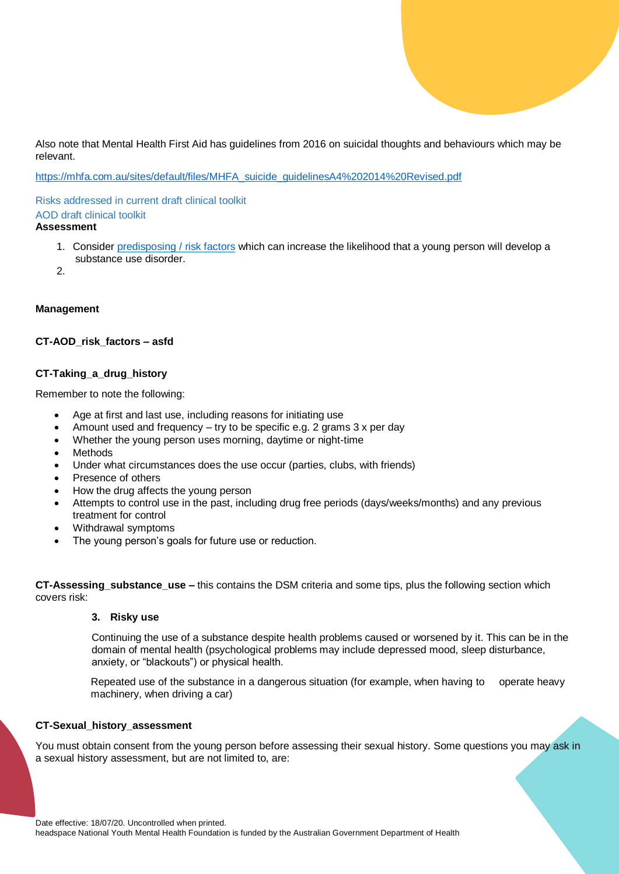Also note that Mental Health First Aid has guidelines from 2016 on suicidal thoughts and behaviours which may be relevant.

[https://mhfa.com.au/sites/default/files/MHFA\\_suicide\\_guidelinesA4%202014%20Revised.pdf](https://mhfa.com.au/sites/default/files/MHFA_suicide_guidelinesA4%202014%20Revised.pdf)

Risks addressed in current draft clinical toolkit AOD draft clinical toolkit

#### **Assessment**

- 1. Consider [predisposing / risk factors](about:blank) which can increase the likelihood that a young person will develop a substance use disorder.
- $\mathcal{P}$

#### **Management**

# **CT-AOD\_risk\_factors – asfd**

#### **CT-Taking\_a\_drug\_history**

Remember to note the following:

- Age at first and last use, including reasons for initiating use
- Amount used and frequency try to be specific e.g. 2 grams 3 x per day
- Whether the young person uses morning, daytime or night-time
- Methods
- Under what circumstances does the use occur (parties, clubs, with friends)
- Presence of others
- How the drug affects the young person
- Attempts to control use in the past, including drug free periods (days/weeks/months) and any previous treatment for control
- Withdrawal symptoms
- The young person's goals for future use or reduction.

**CT-Assessing\_substance\_use –** this contains the DSM criteria and some tips, plus the following section which covers risk:

#### **3. Risky use**

Continuing the use of a substance despite health problems caused or worsened by it. This can be in the domain of mental health (psychological problems may include depressed mood, sleep disturbance, anxiety, or "blackouts") or physical health.

Repeated use of the substance in a dangerous situation (for example, when having to operate heavy machinery, when driving a car)

#### **CT-Sexual\_history\_assessment**

You must obtain consent from the young person before assessing their sexual history. Some questions you may ask in a sexual history assessment, but are not limited to, are: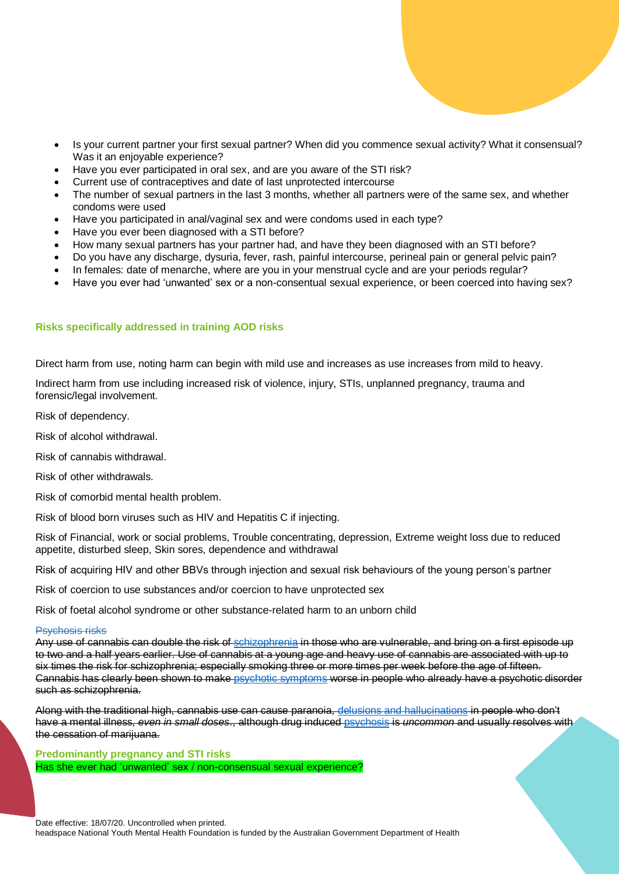- Is your current partner your first sexual partner? When did you commence sexual activity? What it consensual? Was it an enjoyable experience?
- Have you ever participated in oral sex, and are you aware of the STI risk?
- Current use of contraceptives and date of last unprotected intercourse
- The number of sexual partners in the last 3 months, whether all partners were of the same sex, and whether condoms were used
- Have you participated in anal/vaginal sex and were condoms used in each type?
- Have you ever been diagnosed with a STI before?
- How many sexual partners has your partner had, and have they been diagnosed with an STI before?
- Do you have any discharge, dysuria, fever, rash, painful intercourse, perineal pain or general pelvic pain?
- In females: date of menarche, where are you in your menstrual cycle and are your periods regular?
- Have you ever had 'unwanted' sex or a non-consentual sexual experience, or been coerced into having sex?

#### **Risks specifically addressed in training AOD risks**

Direct harm from use, noting harm can begin with mild use and increases as use increases from mild to heavy.

Indirect harm from use including increased risk of violence, injury, STIs, unplanned pregnancy, trauma and forensic/legal involvement.

Risk of dependency.

Risk of alcohol withdrawal.

Risk of cannabis withdrawal.

Risk of other withdrawals.

Risk of comorbid mental health problem.

Risk of blood born viruses such as HIV and Hepatitis C if injecting.

Risk of Financial, work or social problems, Trouble concentrating, depression, Extreme weight loss due to reduced appetite, disturbed sleep, Skin sores, dependence and withdrawal

Risk of acquiring HIV and other BBVs through injection and sexual risk behaviours of the young person's partner

Risk of coercion to use substances and/or coercion to have unprotected sex

Risk of foetal alcohol syndrome or other substance-related harm to an unborn child

#### Psychosis risks

Any use of cannabis can double the risk of [schizophrenia](https://headspace.org.au/health-professionals/clinical-toolkit/psychosis/) in those who are vulnerable, and bring on a first episode up to two and a half years earlier. Use of cannabis at a young age and heavy use of cannabis are associated with up to six times the risk for schizophrenia; especially smoking three or more times per week before the age of fifteen. Cannabis has clearly been shown to mak[e psychotic symptoms](https://headspace.org.au/health-professionals/clinical-toolkit/psychosis/) worse in people who already have a psychotic disorder such as schizophrenia.

Along with the traditional high, cannabis use can cause paranoia, [delusions and hallucinations](https://headspace.org.au/health-professionals/clinical-toolkit/psychosis/) in people who don't have a mental illness, *even in small doses*., although drug induced [psychosis](https://headspace.org.au/health-professionals/clinical-toolkit/psychosis/) is *uncommon* and usually resolves with the cessation of marijuana.

**Predominantly pregnancy and STI risks** Has she ever had 'unwanted' sex / non-consensual sexual experience?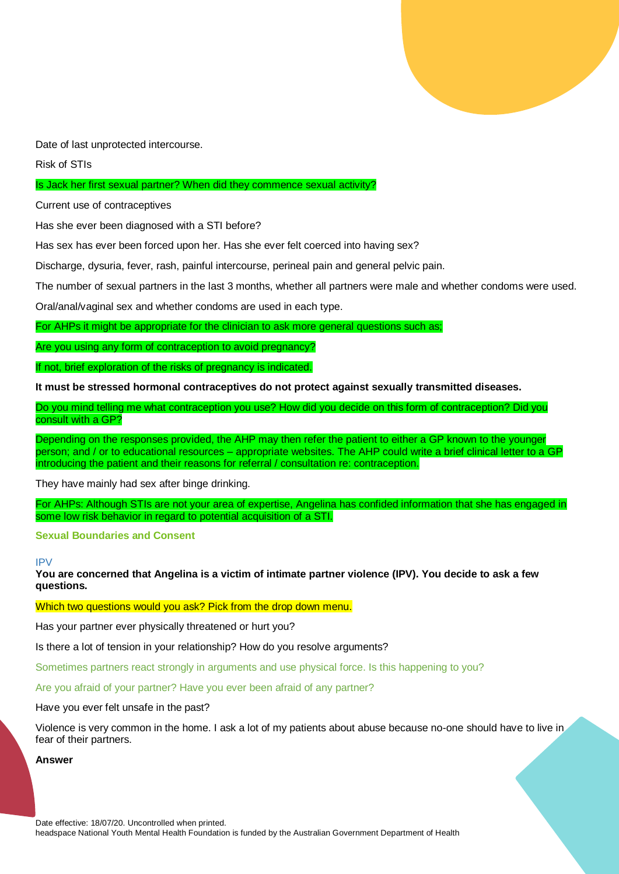

Date of last unprotected intercourse.

Risk of STIs

#### Is Jack her first sexual partner? When did they commence sexual activity?

Current use of contraceptives

Has she ever been diagnosed with a STI before?

Has sex has ever been forced upon her. Has she ever felt coerced into having sex?

Discharge, dysuria, fever, rash, painful intercourse, perineal pain and general pelvic pain.

The number of sexual partners in the last 3 months, whether all partners were male and whether condoms were used.

Oral/anal/vaginal sex and whether condoms are used in each type.

For AHPs it might be appropriate for the clinician to ask more general questions such as;

Are you using any form of contraception to avoid pregnancy?

If not, brief exploration of the risks of pregnancy is indicated.

**It must be stressed hormonal contraceptives do not protect against sexually transmitted diseases.**

Do you mind telling me what contraception you use? How did you decide on this form of contraception? Did you consult with a GP?

Depending on the responses provided, the AHP may then refer the patient to either a GP known to the younger person; and / or to educational resources – appropriate websites. The AHP could write a brief clinical letter to a GP introducing the patient and their reasons for referral / consultation re: contraception.

They have mainly had sex after binge drinking.

For AHPs: Although STIs are not your area of expertise, Angelina has confided information that she has engaged in some low risk behavior in regard to potential acquisition of a STI.

#### **Sexual Boundaries and Consent**

#### IPV

**You are concerned that Angelina is a victim of intimate partner violence (IPV). You decide to ask a few questions.**

Which two questions would you ask? Pick from the drop down menu.

Has your partner ever physically threatened or hurt you?

Is there a lot of tension in your relationship? How do you resolve arguments?

Sometimes partners react strongly in arguments and use physical force. Is this happening to you?

Are you afraid of your partner? Have you ever been afraid of any partner?

Have you ever felt unsafe in the past?

Violence is very common in the home. I ask a lot of my patients about abuse because no-one should have to live in fear of their partners.

**Answer**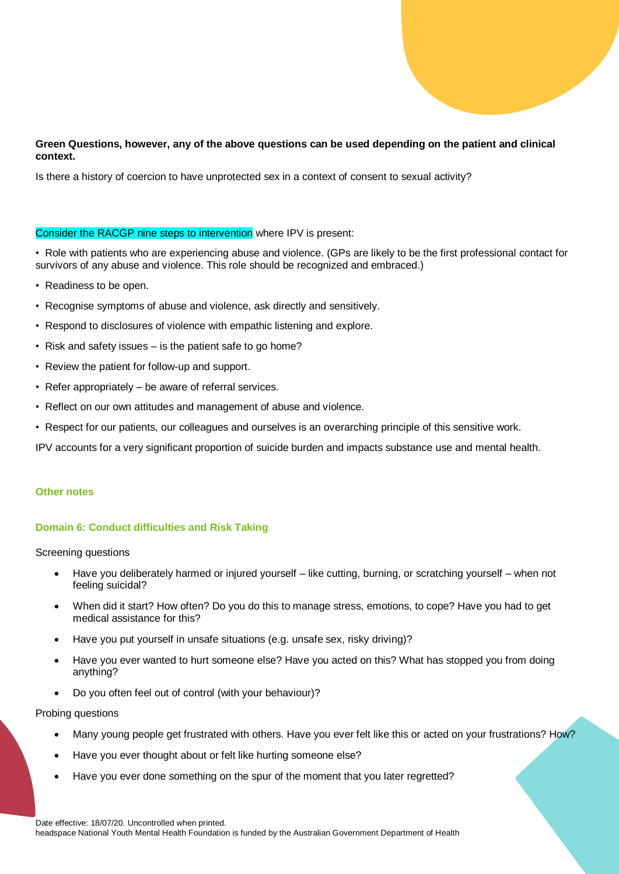# **Green Questions, however, any of the above questions can be used depending on the patient and clinical context.**

Is there a history of coercion to have unprotected sex in a context of consent to sexual activity?

#### Consider the RACGP nine steps to intervention where IPV is present:

- Role with patients who are experiencing abuse and violence. (GPs are likely to be the first professional contact for survivors of any abuse and violence. This role should be recognized and embraced.)
- Readiness to be open.
- Recognise symptoms of abuse and violence, ask directly and sensitively.
- Respond to disclosures of violence with empathic listening and explore.
- Risk and safety issues is the patient safe to go home?
- Review the patient for follow-up and support.
- Refer appropriately be aware of referral services.
- Reflect on our own attitudes and management of abuse and violence.
- Respect for our patients, our colleagues and ourselves is an overarching principle of this sensitive work.

IPV accounts for a very significant proportion of suicide burden and impacts substance use and mental health.

#### **Other notes**

# **Domain 6: Conduct difficulties and Risk Taking**

Screening questions

- Have you deliberately harmed or injured yourself like cutting, burning, or scratching yourself when not feeling suicidal?
- When did it start? How often? Do you do this to manage stress, emotions, to cope? Have you had to get medical assistance for this?
- Have you put yourself in unsafe situations (e.g. unsafe sex, risky driving)?
- Have you ever wanted to hurt someone else? Have you acted on this? What has stopped you from doing anything?
- Do you often feel out of control (with your behaviour)?

Probing questions

- Many young people get frustrated with others. Have you ever felt like this or acted on your frustrations? How?
- Have you ever thought about or felt like hurting someone else?
- Have you ever done something on the spur of the moment that you later regretted?